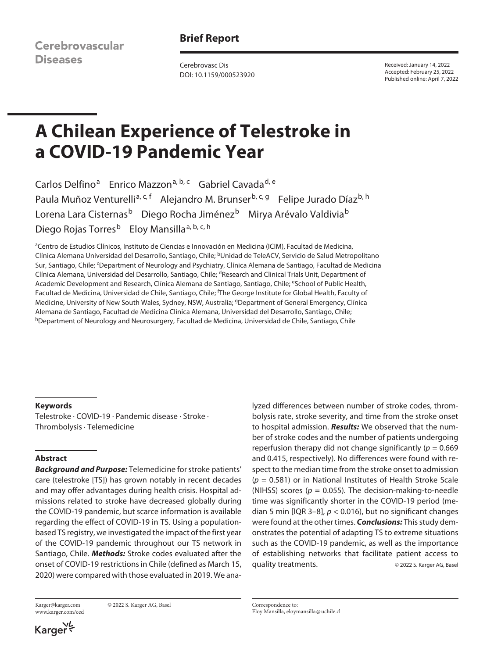Cerebrovascular **Diseases** 

## **Brief Report**

Cerebrovasc Dis DOI: 10.1159/000523920 Received: January 14, 2022 Accepted: February 25, 2022 Published online: April 7, 2022

# **A Chilean Experience of Telestroke in a COVID-19 Pandemic Year**

Carlos Delfino<sup>a</sup> Enrico Mazzon<sup>a, b, c</sup> Gabriel Cavada<sup>d, e</sup> Paula Muñoz Venturelli<sup>a, c, f</sup> Alejandro M. Brunser<sup>b, c, g</sup> Felipe Jurado Díaz<sup>b, h</sup> Lorena Lara Cisternas<sup>b</sup> Diego Rocha Jiménez<sup>b</sup> Mirya Arévalo Valdivia<sup>b</sup> Diego Rojas Torres<sup>b</sup> Eloy Mansilla<sup>a, b, c, h</sup>

aCentro de Estudios Clínicos, Instituto de Ciencias e Innovación en Medicina (ICIM), Facultad de Medicina, Clínica Alemana Universidad del Desarrollo, Santiago, Chile; bUnidad de TeleACV, Servicio de Salud Metropolitano Sur, Santiago, Chile; <sup>c</sup>Department of Neurology and Psychiatry, Clínica Alemana de Santiago, Facultad de Medicina Clínica Alemana, Universidad del Desarrollo, Santiago, Chile; <sup>d</sup>Research and Clinical Trials Unit, Department of Academic Development and Research, Clínica Alemana de Santiago, Santiago, Chile; eSchool of Public Health, Facultad de Medicina, Universidad de Chile, Santiago, Chile; <sup>f</sup> The George Institute for Global Health, Faculty of Medicine, University of New South Wales, Sydney, NSW, Australia; <sup>9</sup>Department of General Emergency, Clínica Alemana de Santiago, Facultad de Medicina Clínica Alemana, Universidad del Desarrollo, Santiago, Chile; hDepartment of Neurology and Neurosurgery, Facultad de Medicina, Universidad de Chile, Santiago, Chile

## **Keywords**

Telestroke · COVID-19 · Pandemic disease · Stroke · Thrombolysis · Telemedicine

## **Abstract**

*Background and Purpose:* Telemedicine for stroke patients' care (telestroke [TS]) has grown notably in recent decades and may offer advantages during health crisis. Hospital admissions related to stroke have decreased globally during the COVID-19 pandemic, but scarce information is available regarding the effect of COVID-19 in TS. Using a populationbased TS registry, we investigated the impact of the first year of the COVID-19 pandemic throughout our TS network in Santiago, Chile. *Methods:* Stroke codes evaluated after the onset of COVID-19 restrictions in Chile (defined as March 15, 2020) were compared with those evaluated in 2019. We ana-

www.karger.com/ced

Karger@karger.com © 2022 S. Karger AG, Basel

(NIHSS) scores ( $p = 0.055$ ). The decision-making-to-needle time was significantly shorter in the COVID-19 period (median 5 min [IQR 3–8], *p* < 0.016), but no significant changes were found at the other times. *Conclusions:* This study demonstrates the potential of adapting TS to extreme situations such as the COVID-19 pandemic, as well as the importance of establishing networks that facilitate patient access to quality treatments.  $\qquad \qquad \circ$  2022 S. Karger AG, Basel

lyzed differences between number of stroke codes, thrombolysis rate, stroke severity, and time from the stroke onset to hospital admission. *Results:* We observed that the number of stroke codes and the number of patients undergoing reperfusion therapy did not change significantly ( $p = 0.669$ ) and 0.415, respectively). No differences were found with respect to the median time from the stroke onset to admission (*p* = 0.581) or in National Institutes of Health Stroke Scale

Correspondence to: Eloy Mansilla, eloymansilla@uchile.cl

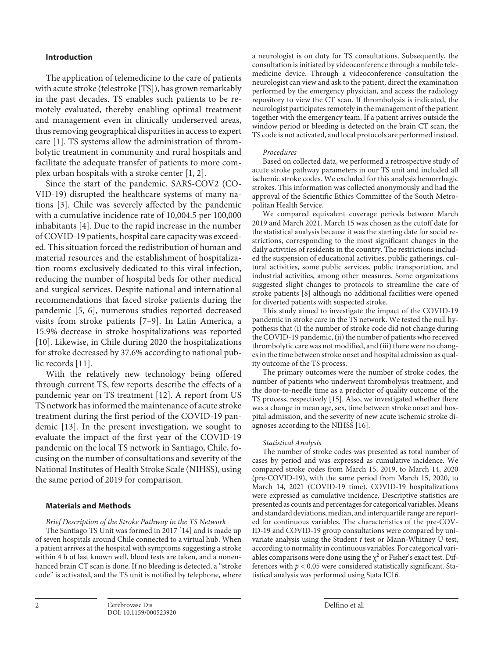## **Introduction**

The application of telemedicine to the care of patients with acute stroke (telestroke [TS]), has grown remarkably in the past decades. TS enables such patients to be remotely evaluated, thereby enabling optimal treatment and management even in clinically underserved areas, thus removing geographical disparities in access to expert care [[1\]](#page-4-0). TS systems allow the administration of thrombolytic treatment in community and rural hospitals and facilitate the adequate transfer of patients to more complex urban hospitals with a stroke center [\[1](#page-4-0), [2\]](#page-4-1).

<span id="page-1-3"></span><span id="page-1-2"></span><span id="page-1-1"></span><span id="page-1-0"></span>Since the start of the pandemic, SARS-COV2 (CO-VID-19) disrupted the healthcare systems of many nations [\[3\]](#page-4-2). Chile was severely affected by the pandemic with a cumulative incidence rate of 10,004.5 per 100,000 inhabitants [[4](#page-4-3)]. Due to the rapid increase in the number of COVID-19 patients, hospital care capacity was exceeded. This situation forced the redistribution of human and material resources and the establishment of hospitalization rooms exclusively dedicated to this viral infection, reducing the number of hospital beds for other medical and surgical services. Despite national and international recommendations that faced stroke patients during the pandemic [\[5](#page-4-4), [6](#page-4-5)], numerous studies reported decreased visits from stroke patients [[7](#page-4-6)–[9](#page-4-7)]. In Latin America, a 15.9% decrease in stroke hospitalizations was reported [\[10](#page-4-0)]. Likewise, in Chile during 2020 the hospitalizations for stroke decreased by 37.6% according to national public records [[11](#page-4-0)].

<span id="page-1-5"></span><span id="page-1-4"></span>With the relatively new technology being offered through current TS, few reports describe the effects of a pandemic year on TS treatment [\[1](#page-4-0)[2\]](#page-4-1). A report from US TS network has informed the maintenance of acute stroke treatment during the first period of the COVID-19 pandemic [[1](#page-4-0)[3](#page-4-2)]. In the present investigation, we sought to evaluate the impact of the first year of the COVID-19 pandemic on the local TS network in Santiago, Chile, focusing on the number of consultations and severity of the National Institutes of Health Stroke Scale (NIHSS), using the same period of 2019 for comparison.

## **Materials and Methods**

*Brief Description of the Stroke Pathway in the TS Network*

The Santiago TS Unit was formed in 2017 [\[1](#page-4-0)[4](#page-4-3)] and is made up of seven hospitals around Chile connected to a virtual hub. When a patient arrives at the hospital with symptoms suggesting a stroke within 4 h of last known well, blood tests are taken, and a nonenhanced brain CT scan is done. If no bleeding is detected, a "stroke code" is activated, and the TS unit is notified by telephone, where

a neurologist is on duty for TS consultations. Subsequently, the consultation is initiated by videoconference through a mobile telemedicine device. Through a videoconference consultation the neurologist can view and ask to the patient, direct the examination performed by the emergency physician, and access the radiology repository to view the CT scan. If thrombolysis is indicated, the neurologist participates remotely in the management of the patient together with the emergency team. If a patient arrives outside the window period or bleeding is detected on the brain CT scan, the TS code is not activated, and local protocols are performed instead.

#### *Procedures*

Based on collected data, we performed a retrospective study of acute stroke pathway parameters in our TS unit and included all ischemic stroke codes. We excluded for this analysis hemorrhagic strokes. This information was collected anonymously and had the approval of the Scientific Ethics Committee of the South Metropolitan Health Service.

We compared equivalent coverage periods between March 2019 and March 2021. March 15 was chosen as the cutoff date for the statistical analysis because it was the starting date for social restrictions, corresponding to the most significant changes in the daily activities of residents in the country. The restrictions included the suspension of educational activities, public gatherings, cultural activities, some public services, public transportation, and industrial activities, among other measures. Some organizations suggested slight changes to protocols to streamline the care of stroke patients [[8](#page-4-8)] although no additional facilities were opened for diverted patients with suspected stroke.

This study aimed to investigate the impact of the COVID-19 pandemic in stroke care in the TS network. We tested the null hypothesis that (i) the number of stroke code did not change during the COVID-19 pandemic, (ii) the number of patients who received thrombolytic care was not modified, and (iii) there were no changes in the time between stroke onset and hospital admission as quality outcome of the TS process.

The primary outcomes were the number of stroke codes, the number of patients who underwent thrombolysis treatment, and the door-to-needle time as a predictor of quality outcome of the TS process, respectively [[1](#page-4-0)[5](#page-4-4)]. Also, we investigated whether there was a change in mean age, sex, time between stroke onset and hospital admission, and the severity of new acute ischemic stroke diagnoses according to the NIHSS [[1](#page-4-0)[6\]](#page-4-5).

## *Statistical Analysis*

The number of stroke codes was presented as total number of cases by period and was expressed as cumulative incidence. We compared stroke codes from March 15, 2019, to March 14, 2020 (pre-COVID-19), with the same period from March 15, 2020, to March 14, 2021 (COVID-19 time). COVID-19 hospitalizations were expressed as cumulative incidence. Descriptive statistics are presented as counts and percentages for categorical variables. Means and standard deviations, median, and interquartile range are reported for continuous variables. The characteristics of the pre-COV-ID-19 and COVID-19 group consultations were compared by univariate analysis using the Student *t* test or Mann-Whitney U test, according to normality in continuous variables. For categorical variables comparisons were done using the  $\chi^2$  or Fisher's exact test. Differences with  $p < 0.05$  were considered statistically significant. Statistical analysis was performed using Stata IC16.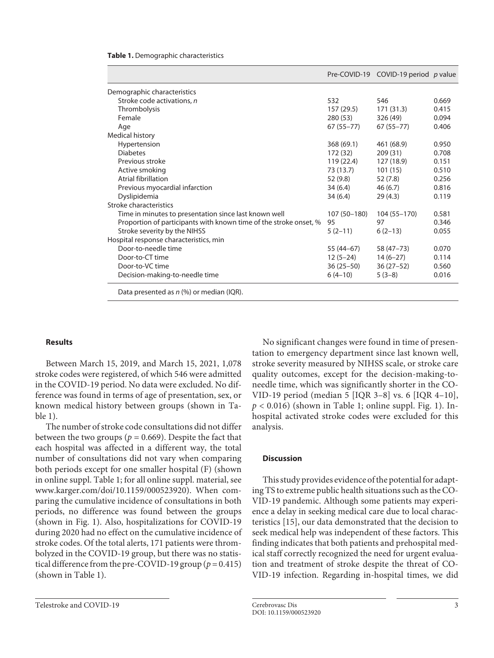| Table 1. Demographic characteristics |
|--------------------------------------|
|--------------------------------------|

|                                                                   |               | Pre-COVID-19 COVID-19 period p value |       |
|-------------------------------------------------------------------|---------------|--------------------------------------|-------|
| Demographic characteristics                                       |               |                                      |       |
| Stroke code activations, n                                        | 532           | 546                                  | 0.669 |
| Thrombolysis                                                      | 157 (29.5)    | 171 (31.3)                           | 0.415 |
| Female                                                            | 280 (53)      | 326 (49)                             | 0.094 |
| Age                                                               | $67(55 - 77)$ | $67(55 - 77)$                        | 0.406 |
| Medical history                                                   |               |                                      |       |
| Hypertension                                                      | 368 (69.1)    | 461 (68.9)                           | 0.950 |
| <b>Diabetes</b>                                                   | 172 (32)      | 209 (31)                             | 0.708 |
| Previous stroke                                                   | 119 (22.4)    | 127 (18.9)                           | 0.151 |
| Active smoking                                                    | 73 (13.7)     | 101(15)                              | 0.510 |
| Atrial fibrillation                                               | 52 (9.8)      | 52 (7.8)                             | 0.256 |
| Previous myocardial infarction                                    | 34(6.4)       | 46 (6.7)                             | 0.816 |
| Dyslipidemia                                                      | 34 (6.4)      | 29(4.3)                              | 0.119 |
| Stroke characteristics                                            |               |                                      |       |
| Time in minutes to presentation since last known well             | 107 (50-180)  | 104 (55-170)                         | 0.581 |
| Proportion of participants with known time of the stroke onset, % | 95            | 97                                   | 0.346 |
| Stroke severity by the NIHSS                                      | $5(2-11)$     | $6(2-13)$                            | 0.055 |
| Hospital response characteristics, min                            |               |                                      |       |
| Door-to-needle time                                               | 55 (44–67)    | 58 (47 - 73)                         | 0.070 |
| Door-to-CT time                                                   | 12 (5–24)     | $14(6-27)$                           | 0.114 |
| Door-to-VC time                                                   | 36 (25–50)    | $36(27-52)$                          | 0.560 |
| Decision-making-to-needle time                                    | $6(4-10)$     | $5(3-8)$                             | 0.016 |
| Data presented as $n$ (%) or median (IQR).                        |               |                                      |       |

## **Results**

Between March 15, 2019, and March 15, 2021, 1,078 stroke codes were registered, of which 546 were admitted in the COVID-19 period. No data were excluded. No difference was found in terms of age of presentation, sex, or known medical history between groups (shown in Table 1).

The number of stroke code consultations did not differ between the two groups ( $p = 0.669$ ). Despite the fact that each hospital was affected in a different way, the total number of consultations did not vary when comparing both periods except for one smaller hospital (F) (shown in online suppl. Table 1; for all online suppl. material, see www.karger.com/doi/10.1159/000523920). When comparing the cumulative incidence of consultations in both periods, no difference was found between the groups (shown in Fig. 1). Also, hospitalizations for COVID-19 during 2020 had no effect on the cumulative incidence of stroke codes. Of the total alerts, 171 patients were thrombolyzed in the COVID-19 group, but there was no statistical difference from the pre-COVID-19 group (*p* = 0.415) (shown in Table 1).

No significant changes were found in time of presentation to emergency department since last known well, stroke severity measured by NIHSS scale, or stroke care quality outcomes, except for the decision-making-toneedle time, which was significantly shorter in the CO-VID-19 period (median 5 [IQR 3–8] vs. 6 [IQR 4–10],  $p < 0.016$ ) (shown in Table 1; online suppl. Fig. 1). Inhospital activated stroke codes were excluded for this analysis.

### **Discussion**

This study provides evidence of the potential for adapting TS to extreme public health situations such as the CO-VID-19 pandemic. Although some patients may experience a delay in seeking medical care due to local characteristics [[1](#page-4-0)[5](#page-4-4)], our data demonstrated that the decision to seek medical help was independent of these factors. This finding indicates that both patients and prehospital medical staff correctly recognized the need for urgent evaluation and treatment of stroke despite the threat of CO-VID-19 infection. Regarding in-hospital times, we did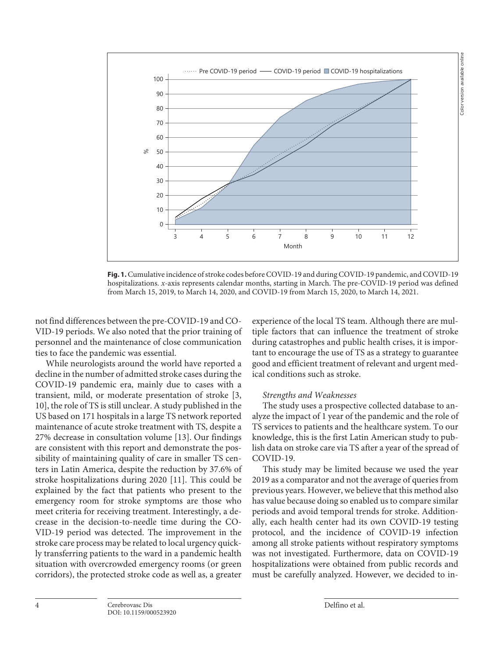

**Fig. 1.** Cumulative incidence of stroke codes before COVID-19 and during COVID-19 pandemic, and COVID-19 hospitalizations. *x*-axis represents calendar months, starting in March. The pre-COVID-19 period was defined from March 15, 2019, to March 14, 2020, and COVID-19 from March 15, 2020, to March 14, 2021.

not find differences between the pre-COVID-19 and CO-VID-19 periods. We also noted that the prior training of personnel and the maintenance of close communication ties to face the pandemic was essential.

While neurologists around the world have reported a decline in the number of admitted stroke cases during the COVID-19 pandemic era, mainly due to cases with a transient, mild, or moderate presentation of stroke [\[3,](#page-4-2) [10](#page-4-0)], the role of TS is still unclear. A study published in the US based on 171 hospitals in a large TS network reported maintenance of acute stroke treatment with TS, despite a 27% decrease in consultation volume [\[1](#page-4-0)[3\]](#page-4-2). Our findings are consistent with this report and demonstrate the possibility of maintaining quality of care in smaller TS centers in Latin America, despite the reduction by 37.6% of stroke hospitalizations during 2020 [[11](#page-4-0)]. This could be explained by the fact that patients who present to the emergency room for stroke symptoms are those who meet criteria for receiving treatment. Interestingly, a decrease in the decision-to-needle time during the CO-VID-19 period was detected. The improvement in the stroke care process may be related to local urgency quickly transferring patients to the ward in a pandemic health situation with overcrowded emergency rooms (or green corridors), the protected stroke code as well as, a greater

experience of the local TS team. Although there are multiple factors that can influence the treatment of stroke during catastrophes and public health crises, it is important to encourage the use of TS as a strategy to guarantee good and efficient treatment of relevant and urgent medical conditions such as stroke.

## *Strengths and Weaknesses*

The study uses a prospective collected database to analyze the impact of 1 year of the pandemic and the role of TS services to patients and the healthcare system. To our knowledge, this is the first Latin American study to publish data on stroke care via TS after a year of the spread of COVID-19.

This study may be limited because we used the year 2019 as a comparator and not the average of queries from previous years. However, we believe that this method also has value because doing so enabled us to compare similar periods and avoid temporal trends for stroke. Additionally, each health center had its own COVID-19 testing protocol, and the incidence of COVID-19 infection among all stroke patients without respiratory symptoms was not investigated. Furthermore, data on COVID-19 hospitalizations were obtained from public records and must be carefully analyzed. However, we decided to in-